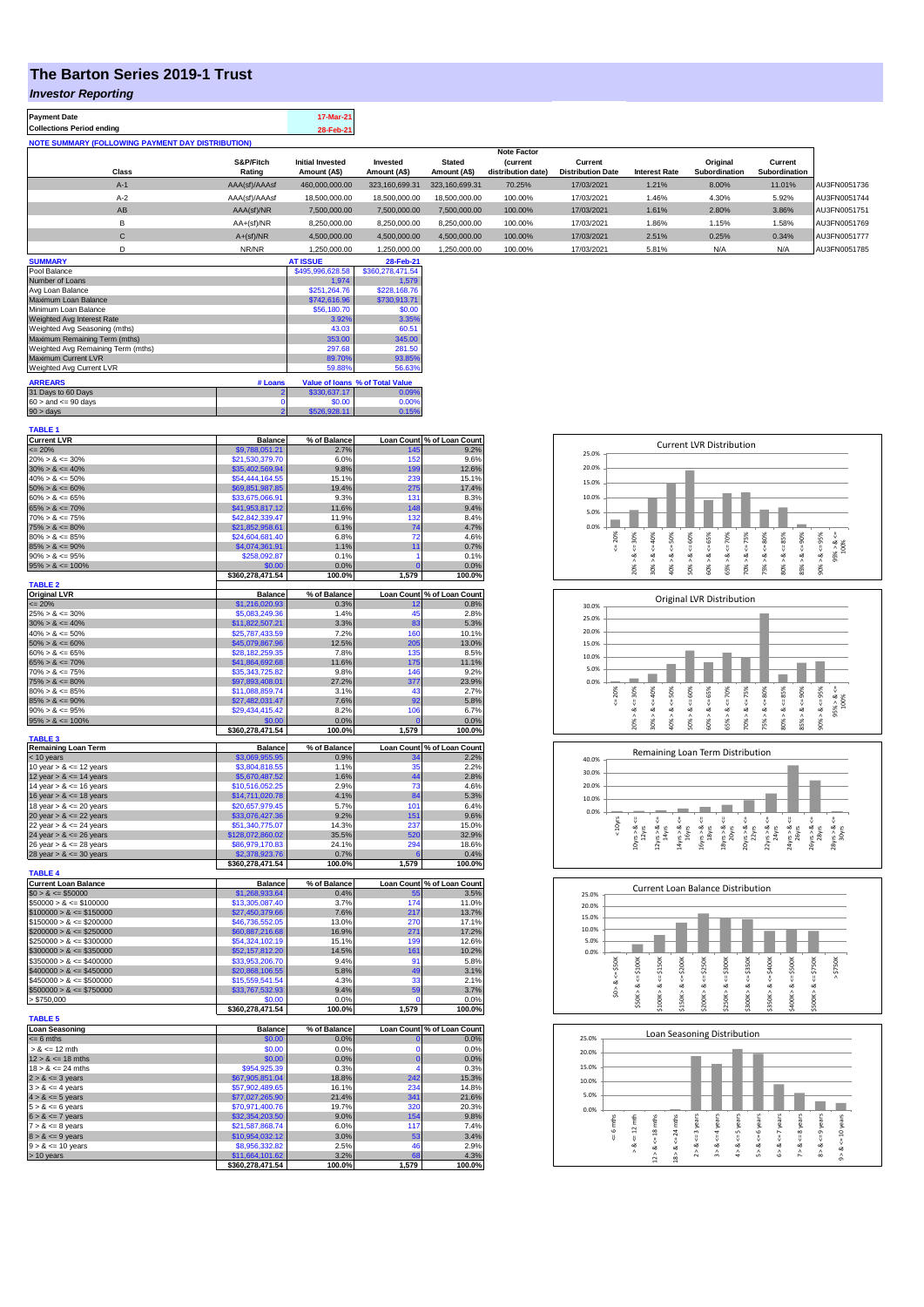# **The Barton Series 2019-1 Trust**

#### *Investor Reporting*

| <b>Payment Date</b>                                      | 17-Mar-21 |
|----------------------------------------------------------|-----------|
| <b>Collections Period ending</b>                         | 28-Feb-21 |
| <b>NOTE SUMMARY (FOLLOWING PAYMENT DAY DISTRIBUTION)</b> |           |
|                                                          |           |

|              |               |                         |                |                | <b>Note Factor</b> |                          |                      |               |               |              |
|--------------|---------------|-------------------------|----------------|----------------|--------------------|--------------------------|----------------------|---------------|---------------|--------------|
|              | S&P/Fitch     | <b>Initial Invested</b> | Invested       | <b>Stated</b>  | <b>Current</b>     | Current                  |                      | Original      | Current       |              |
| <b>Class</b> | Rating        | Amount (A\$)            | Amount (A\$)   | Amount (A\$)   | distribution date) | <b>Distribution Date</b> | <b>Interest Rate</b> | Subordination | Subordination |              |
| $A-1$        | AAA(sf)/AAAsf | 460.000.000.00          | 323.160.699.31 | 323.160.699.31 | 70.25%             | 17/03/2021               | 1.21%                | 8.00%         | 11.01%        | AU3FN0051736 |
| $A-2$        | AAA(sf)/AAAsf | 18,500,000,00           | 18,500,000,00  | 18,500,000.00  | 100.00%            | 17/03/2021               | 1.46%                | 4.30%         | 5.92%         | AU3FN0051744 |
| AB           | AAA(sf)/NR    | 7,500,000.00            | 7.500.000.00   | 7.500.000.00   | 100.00%            | 17/03/2021               | 1.61%                | 2.80%         | 3.86%         | AU3FN0051751 |
| в            | $AA+(sf)/NR$  | 8.250.000.00            | 8,250,000.00   | 8.250.000.00   | 100.00%            | 17/03/2021               | 1.86%                | 1.15%         | 1.58%         | AU3FN0051769 |
| $\sim$<br>◡  | $A+(sf)/NR$   | 4,500,000.00            | 4.500.000.00   | 4,500,000.00   | 100.00%            | 17/03/2021               | 2.51%                | 0.25%         | 0.34%         | AU3FN0051777 |
|              | NR/NR         | 1.250.000.00            | 1.250.000.00   | 1.250.000.00   | 100.00%            | 17/03/2021               | 5.81%                | N/A           | N/A           | AU3FN0051785 |

| <b>SUMMARY</b>                     |         | <b>AT ISSUE</b>  | 28-Feb-21                       |
|------------------------------------|---------|------------------|---------------------------------|
| Pool Balance                       |         | \$495,996,628.58 | \$360,278,471.54                |
| Number of Loans                    |         | 1.974            | 1.579                           |
| Avg Loan Balance                   |         | \$251.264.76     | \$228,168.76                    |
| Maximum Loan Balance               |         | \$742,616.96     | \$730,913.71                    |
| Minimum Loan Balance               |         | \$56,180.70      | \$0.00                          |
| Weighted Avg Interest Rate         |         | 3.92%            | 3.35%                           |
| Weighted Avg Seasoning (mths)      |         | 43.03            | 60.51                           |
| Maximum Remaining Term (mths)      |         | 353.00           | 345.00                          |
| Weighted Avg Remaining Term (mths) |         | 297.68           | 281.50                          |
| Maximum Current LVR                |         | 89.70%           | 93.85%                          |
| Weighted Avg Current LVR           |         | 59.88%           | 56.63%                          |
| <b>ARREARS</b>                     | # Loans |                  | Value of Ioans % of Total Value |
| 31 Days to 60 Days                 |         | \$330,637.17     | 0.09%                           |
| $60 >$ and $\leq 90$ days          | 0       | \$0.00           | 0.00%                           |
| $90 >$ days                        | 2       | \$526,928.11     | 0.15%                           |

| <b>TABLE 1</b>                                           |                                    |                      |                     |                                    |
|----------------------------------------------------------|------------------------------------|----------------------|---------------------|------------------------------------|
| <b>Current LVR</b>                                       | <b>Balance</b>                     | % of Balance         |                     | Loan Count % of Loan Count         |
| $= 20\%$                                                 | \$9,788,051.21                     | 2.7%                 | 145                 | 9.2%                               |
| $20\% > 8 \le 30\%$<br>$30\% > 8 \le 40\%$               | \$21,530,379.70<br>\$35,402,569.94 | 6.0%<br>9.8%         | 152<br>199          | 9.6%<br>12.6%                      |
| $40\% > 8 \le 50\%$                                      | \$54,444,164.55                    | 15.1%                | 239                 | 15.1%                              |
| $50\% > 8 \le 60\%$                                      | \$69,851,987.85                    | 19.4%                | 275                 | 17.4%                              |
| $60\% > 8 \le 65\%$                                      | \$33,675,066.91                    | 9.3%                 | 131                 | 8.3%                               |
| $65\% > 8 \le 70\%$                                      | \$41,953,817.12                    | 11.6%                | 148                 | 9.4%                               |
| $70\% > 8 \le 75\%$                                      | \$42,842,339.47                    | 11.9%                | 132                 | 8.4%                               |
| $75\% > 8 \le 80\%$                                      | \$21,852,958.61                    | 6.1%                 | 74                  | 4.7%                               |
| $80\% > 8 \le 85\%$                                      | \$24,604,681.40                    | 6.8%                 | 72                  | 4.6%                               |
| $85\% > 8 \le 90\%$                                      | \$4,074,361.91                     | 1.1%                 | 11                  | 0.7%                               |
| $90\% > 8 \le 95\%$                                      | \$258,092.87                       | 0.1%                 | 1<br>$\overline{0}$ | 0.1%                               |
| $95\% > 8 \le 100\%$                                     | \$0.00<br>\$360,278,471.54         | 0.0%<br>100.0%       | 1,579               | 0.0%<br>100.0%                     |
| <b>TABLE 2</b>                                           |                                    |                      |                     |                                    |
| <b>Original LVR</b>                                      | Balance                            | % of Balance         |                     | Loan Count % of Loan Count         |
| $= 20%$                                                  | \$1,216,020.93                     | 0.3%                 | 12                  | 0.8%                               |
| $25\% > 8 \le 30\%$                                      | \$5,083,249.36                     | 1.4%                 | 45                  | 2.8%                               |
| $30\% > 8 \le 40\%$                                      | \$11,822,507.21                    | 3.3%                 | 83                  | 5.3%                               |
| $40\% > 8 \le 50\%$                                      | \$25,787,433.59                    | 7.2%                 | 160                 | 10.1%                              |
| $50\% > 8 \le 60\%$                                      | \$45,079,867.96                    | 12.5%                | 205                 | 13.0%                              |
| $60\% > 8 \le 65\%$                                      | \$28,182,259.35                    | 7.8%                 | 135                 | 8.5%                               |
| $65\% > 8 \le 70\%$<br>$70\% > 8 \le 75\%$               | \$41,864,692.68<br>\$35.343.725.82 | 11.6%<br>9.8%        | 175<br>146          | 11.1%<br>9.2%                      |
| $75\% > 8 \le 80\%$                                      | \$97,893,408.01                    | 27.2%                | 377                 | 23.9%                              |
| $80\% > 8 \le 85\%$                                      | \$11,088,859.74                    | 3.1%                 | 43                  | 2.7%                               |
| $85\% > 8 \le 90\%$                                      | \$27,482,031.47                    | 7.6%                 | 92                  | 5.8%                               |
| $90\% > 8 \le 95\%$                                      | \$29,434,415.42                    | 8.2%                 | 106                 | 6.7%                               |
| $95\% > 8 \le 100\%$                                     | \$0.00                             | 0.0%                 | $\mathbf 0$         | 0.0%                               |
|                                                          | \$360,278,471.54                   | 100.0%               | 1,579               | 100.0%                             |
| <b>TABLE 3</b><br><b>Remaining Loan Term</b>             | <b>Balance</b>                     | % of Balance         | <b>Loan Count</b>   | % of Loan Count                    |
| < 10 years                                               | \$3,069,955.95                     | 0.9%                 | 34                  | 2.2%                               |
| 10 year $> 8 \le 12$ years                               | \$3,804,818.55                     | 1.1%                 | 35                  | 2.2%                               |
| 12 year $> 8 \le 14$ years                               | \$5,670,487.52                     | 1.6%                 | 44                  | 2.8%                               |
| 14 year $> 8 \le 16$ years                               | \$10.516.052.25                    | 2.9%                 | 73                  | 4.6%                               |
| 16 year $> 8 \le 18$ years                               | \$14,711,020.78                    | 4.1%                 | 84                  | 5.3%                               |
| 18 year $> 8 \le 20$ years                               | \$20,657,979.45                    | 5.7%                 | 101                 | 6.4%                               |
| 20 year $> 8 \le 22$ years                               | \$33,076,427.36                    | 9.2%                 | 151                 | 9.6%                               |
| 22 year $> 8 \le 24$ years                               | \$51,340,775.07                    | 14.3%                | 237                 | 15.0%                              |
| 24 year $> 8 \le 26$ years                               | \$128,072,860.02                   | 35.5%                | 520<br>294          | 32.9%                              |
| 26 year $> 8 \le 28$ years<br>28 year $> 8 \le 30$ years | \$86,979,170.83<br>\$2,378,923.76  | 24.1%<br>0.7%        | 6                   | 18.6%<br>0.4%                      |
|                                                          | \$360,278,471.54                   | 100.0%               | 1,579               | 100.0%                             |
| <b>TABLE 4</b>                                           |                                    |                      |                     |                                    |
| <b>Current Loan Balance</b>                              | <b>Balance</b>                     | % of Balance         | <b>Loan Count</b>   | % of Loan Count                    |
| $$0 > 8 \le $50000$                                      | \$1,268,933.64                     | 0.4%                 | 55                  | 3.5%                               |
| $$50000 > 8 \le $100000$                                 | \$13,305,087.40                    | 3.7%                 | 174                 | 11.0%                              |
| $$100000 > 8 \le $150000$                                | \$27,450,379.66                    | 7.6%                 | 217                 | 13.7%                              |
| $$150000 > 8 \le $200000$<br>$$200000 > 8 \leq $250000$  | \$46,736,552.05                    | 13.0%<br>16.9%       | 270<br>271          | 17.1%<br>17.2%                     |
| $$250000 > 8 \le $300000$                                | \$60,887,216.68<br>\$54,324,102.19 | 15.1%                | 199                 | 12.6%                              |
| $$300000 > 8 \leq $350000$                               | \$52,157,812.20                    | 14.5%                | 161                 | 10.2%                              |
| $$350000 > 8 \le $400000$                                | \$33,953,206.70                    | 9.4%                 | 91                  | 5.8%                               |
| $$400000 > 8 \le $450000$                                | \$20,868,106.55                    | 5.8%                 | 49                  | 3.1%                               |
| $$450000 > 8 \le $500000$                                | \$15,559,541.54                    | 4.3%                 | 33                  | 2.1%                               |
| $$500000 > 8 \le $750000$                                | \$33,767,532.93                    | 9.4%                 | 59                  | 3.7%                               |
| > \$750,000                                              | \$0.00                             | 0.0%                 | O                   | 0.0%                               |
|                                                          | \$360,278,471.54                   | 100.0%               | 1,579               | 100.0%                             |
| <b>TABLE 5</b>                                           |                                    |                      |                     |                                    |
| <b>Loan Seasoning</b><br>$= 6$ mths                      | <b>Balance</b>                     | % of Balance<br>0.0% | $\Omega$            | Loan Count % of Loan Count<br>0.0% |
| $> 8 \le 12$ mth                                         | \$0.00<br>\$0.00                   | 0.0%                 | $\mathbf 0$         | 0.0%                               |
| $12 > 8 \le 18$ mths                                     | \$0.00                             | 0.0%                 | $\mathbf 0$         | 0.0%                               |
| $18 > 8 \le 24$ mths                                     | \$954,925.39                       | 0.3%                 | 4                   | 0.3%                               |
| $2 > 8 \le 3$ years                                      | \$67,905,851.04                    | 18.8%                | 242                 | 15.3%                              |
| $3 > 8 \le 4$ years                                      | \$57,902,489.65                    | 16.1%                | 234                 | 14.8%                              |
| $4 > 8 \le 5$ years                                      | \$77,027,265.90                    | 21.4%                | 341                 | 21.6%                              |
| $5 > 8 \le 6$ years                                      | \$70,971,400.76                    | 19.7%                | 320                 | 20.3%                              |
| $6 > 8 \le 7$ years                                      | \$32,354,203.50                    | 9.0%                 | 154                 | 9.8%                               |
| $7 > 8 \le 8$ years                                      | \$21,587,868.74                    | 6.0%                 | 117                 | 7.4%                               |
| $8 > 8 \le 9$ years<br>$9 > 8 \le 10$ years              | \$10,954,032.12<br>\$8,956,332.82  | 3.0%<br>2.5%         | 53<br>46            | 3.4%<br>2.9%                       |
| $> 10$ years                                             | \$11,664,101.62                    | 3.2%                 | 68                  | 4.3%                               |
|                                                          | \$360,278,471.54                   | 100.0%               | 1,579               | 100.0%                             |
|                                                          |                                    |                      |                     |                                    |







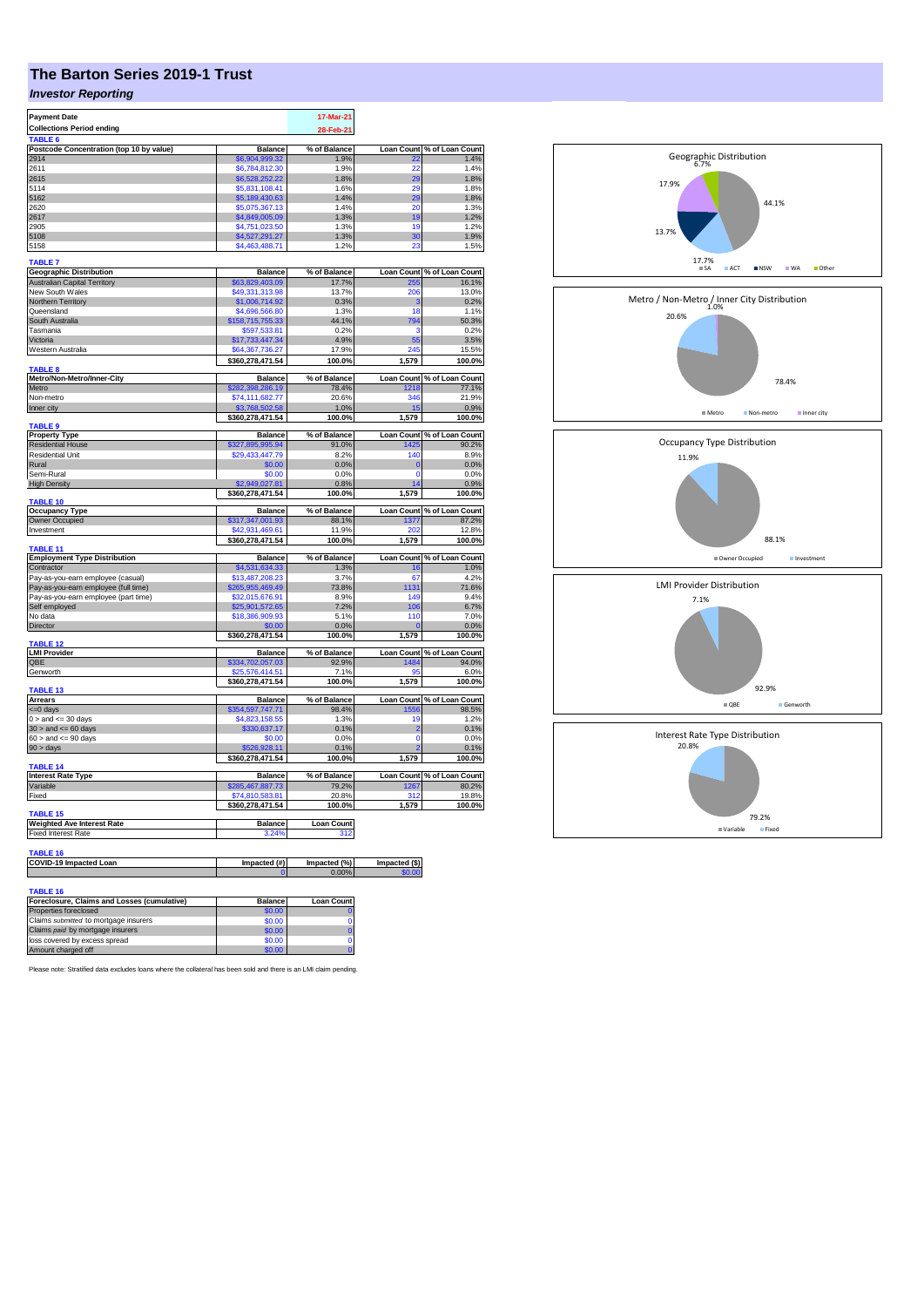# **The Barton Series 2019-1 Trust**

### *Investor Reporting*

| <b>Payment Date</b>                         | 17-Mar-21                        |                       |                        |                            |
|---------------------------------------------|----------------------------------|-----------------------|------------------------|----------------------------|
| <b>Collections Period ending</b>            |                                  | 28-Feb-21             |                        |                            |
| TABLE 6                                     |                                  |                       |                        |                            |
| Postcode Concentration (top 10 by value)    | <b>Balance</b>                   | % of Balance          | <b>Loan Count</b>      | % of Loan Count            |
| 2914                                        | \$6,904,999,32                   | 1.9%                  | 22                     | 1.4%                       |
| 2611                                        | \$6,784,812.30                   | 1.9%                  | 22                     | 1.4%                       |
| 2615                                        | \$6,528,252.22                   | 1.8%                  | 29                     | 1.8%                       |
| 5114                                        | \$5,831,108.41                   | 1.6%                  | 20                     | 1.8%                       |
| 5162                                        | \$5,189,430.63                   | 1.4%                  | 29<br>20               | 1.8%                       |
| 2620                                        | \$5,075,367.13                   | 1.4%                  |                        | 1.3%                       |
| 2617<br>2905                                | \$4,849,005.09<br>\$4,751,023.50 | 1.3%<br>1.3%          | 19<br>19               | 1.2%<br>1.2%               |
| 5108                                        | \$4,527,291.27                   | 1.3%                  | 30                     | 1.9%                       |
| 5158                                        | \$4,463,488.71                   | 1.2%                  | 23                     | 1.5%                       |
|                                             |                                  |                       |                        |                            |
| <b>TABLE 7</b>                              |                                  |                       |                        |                            |
| <b>Geographic Distribution</b>              | <b>Balance</b>                   | % of Balance          |                        | Loan Count % of Loan Count |
| <b>Australian Capital Territory</b>         | \$63,829,403.09                  | 17.7%                 | 255                    | 16.1%                      |
| New South Wales                             | \$49,331,313.98                  | 13.7%                 | 206                    | 13.0%                      |
| Northern Territory                          | \$1,006,714.92                   | 0.3%                  | 3                      | 0.2%                       |
| Queensland                                  | \$4,696,566.80                   | 1.3%                  | 18                     | 1.1%                       |
| South Australia                             | \$158,715,755.33                 | 44.1%                 | 794                    | 50.3%                      |
| Tasmania                                    | \$597,533.81                     | 0.2%                  | э                      | 0.2%                       |
| Victoria                                    | \$17,733,447.34                  | 4.9%                  | 55                     | 3.5%                       |
| Western Australia                           | \$64,367,736.27                  | 17.9%                 | 245                    | 15.5%                      |
| <b>TABLE 8</b>                              | \$360,278,471.54                 | 100.0%                | 1.579                  | 100.0%                     |
| Metro/Non-Metro/Inner-City                  | <b>Balance</b>                   | % of Balance          |                        | Loan Count % of Loan Count |
| Metro                                       | 282,398,286.19                   | 78.4%                 | 218                    | 77.1%                      |
| Non-metro                                   | \$74,111,682.77                  | 20.6%                 | 346                    | 21.9%                      |
| Inner city                                  | \$3.768.502.58                   | 1.0%                  | 15                     | 0.9%                       |
|                                             | \$360,278,471.54                 | 100.0%                | 1,579                  | 100.0%                     |
| TABLE 9                                     |                                  |                       |                        |                            |
| <b>Property Type</b>                        | <b>Balance</b>                   | % of Balance          |                        | Loan Count % of Loan Count |
| <b>Residential House</b>                    | \$327,895,995.94                 | 91.0%                 | 1425                   | 90.2%                      |
| <b>Residential Unit</b>                     | \$29,433,447.79                  | 8.2%                  | 140                    | 8.9%                       |
| Rural                                       | \$0.00                           | 0.0%                  | $\Omega$<br>$\Omega$   | 0.0%                       |
| Semi-Rural                                  | \$0.00                           | 0.0%                  | ız                     | 0.0%                       |
| <b>High Density</b>                         | 027.81<br>\$360,278,471.54       | 0.8%<br>100.0%        | 1,579                  | 0.9%<br>100.0%             |
| TABLE 10                                    |                                  |                       |                        |                            |
| <b>Occupancy Type</b>                       | <b>Balance</b>                   | % of Balance          | <b>Loan Count</b>      | % of Loan Count            |
| Owner Occupied                              | \$317,347,001.93                 | 88.1%                 | 1377                   | 87.2%                      |
| Investment                                  | \$42,931,469.61                  | 11.9%                 | 202                    | 12.8%                      |
|                                             | \$360,278,471.54                 | 100.0%                | 1,579                  | 100.0%                     |
| <b>TABLE 11</b>                             |                                  |                       |                        |                            |
|                                             |                                  |                       |                        |                            |
| <b>Employment Type Distribution</b>         | <b>Balance</b>                   | % of Balance          |                        | Loan Count % of Loan Count |
| Contractor                                  | \$4,531,634.33                   | 1.3%                  | 16                     | 1.0%                       |
| Pay-as-you-earn employee (casual)           | \$13,487,208.23                  | 3.7%                  | 67                     | 4.2%                       |
| Pay-as-you-earn employee (full time)        | 265,955,469.49                   | 73.8%                 | 131                    | 71.6%                      |
| Pay-as-you-earn employee (part time)        | \$32,015,676.91                  | 8.9%                  | 149                    | 9.4%                       |
| Self employed                               | \$25,901,572.65                  | 7.2%                  | 106                    | 6.7%                       |
| No data                                     | \$18,386,909.93                  | 5.1%                  | 110                    | 7.0%                       |
| Director                                    | \$0.00                           | 0.0%                  | $\overline{0}$         | 0.0%                       |
| <b>TABLE 12</b>                             | \$360,278,471.54                 | 100.0%                | 1.579                  | 100.0%                     |
| <b>LMI Provider</b>                         | <b>Balance</b>                   | % of Balance          | <b>Loan Count</b>      | % of Loan Count            |
| OBE                                         | \$334,702,057.03                 | 92.9%                 | 1484                   | 94.0%                      |
| Genworth                                    | \$25,576,414.51                  | 7.1%                  | ٩F                     | 6.0%                       |
|                                             | \$360,278,471.54                 | 100.0%                | 1,579                  | 100.0%                     |
| TABLE 13                                    |                                  |                       |                        |                            |
| Arrears                                     | <b>Balance</b>                   | % of Balance          | <b>Loan Count</b>      | % of Loan Count            |
| <= 0 days                                   | \$354,597,747.71                 | 98.4%                 | 556                    | 98.5%                      |
| $0 >$ and $\leq 30$ days                    | \$4,823,158.55                   | 1.3%                  | 19                     | 1.2%                       |
| $30 >$ and $\leq 60$ days                   | \$330,637.17                     | 0.1%                  | $\overline{2}$         | 0.1%                       |
| $60 >$ and $\leq 90$ days                   | \$0.00<br>928.1                  | 0.0%                  | $\overline{0}$         | 0.0%                       |
| 90 > days                                   |                                  | 0.1%<br>100.0%        | 1.579                  | 0.1%                       |
| TABLE 14                                    | \$360,278,471.54                 |                       |                        | 100.0%                     |
| <b>Interest Rate Type</b>                   | <b>Balance</b>                   | % of Balance          |                        | Loan Count % of Loan Count |
| Variable                                    | \$285,467,887.73                 | 79.2%                 | 1267                   | 80.2%                      |
| Fixed                                       | \$74,810,583.81                  | 20.8%                 | 312                    | 19.8%                      |
|                                             | \$360,278,471.54                 | 100.0%                | 1,579                  | 100.0%                     |
| TABLE 15                                    |                                  |                       |                        |                            |
| <b>Weighted Ave Interest Rate</b>           | <b>Balance</b>                   | <b>Loan Count</b>     |                        |                            |
| <b>Fixed Interest Rate</b>                  | 3.24%                            | 312                   |                        |                            |
|                                             |                                  |                       |                        |                            |
| TABLE 16                                    |                                  |                       |                        |                            |
| COVID-19 Impacted Loan                      | Impacted (#)                     | Impacted (%)<br>0.00% | Impacted (\$)<br>60.00 |                            |
|                                             |                                  |                       |                        |                            |
| <b>TABLE 16</b>                             |                                  |                       |                        |                            |
| Foreclosure, Claims and Losses (cumulative) | <b>Balance</b>                   | <b>Loan Count</b>     |                        |                            |



Please note: Stratified data excludes loans where the collateral has been sold and there is an LMI claim pending.